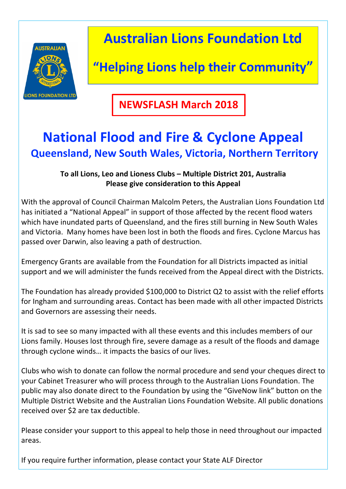

**Australian Lions Foundation Ltd** 

## **"Helping Lions help their Community"**

**NEWSFLASH March 2018**

## **National Flood and Fire & Cyclone Appeal Queensland, New South Wales, Victoria, Northern Territory**

## **To all Lions, Leo and Lioness Clubs – Multiple District 201, Australia Please give consideration to this Appeal**

With the approval of Council Chairman Malcolm Peters, the Australian Lions Foundation Ltd has initiated a "National Appeal" in support of those affected by the recent flood waters which have inundated parts of Queensland, and the fires still burning in New South Wales and Victoria. Many homes have been lost in both the floods and fires. Cyclone Marcus has passed over Darwin, also leaving a path of destruction.

Emergency Grants are available from the Foundation for all Districts impacted as initial support and we will administer the funds received from the Appeal direct with the Districts.

The Foundation has already provided \$100,000 to District Q2 to assist with the relief efforts for Ingham and surrounding areas. Contact has been made with all other impacted Districts and Governors are assessing their needs.

It is sad to see so many impacted with all these events and this includes members of our Lions family. Houses lost through fire, severe damage as a result of the floods and damage through cyclone winds... it impacts the basics of our lives.

Clubs who wish to donate can follow the normal procedure and send your cheques direct to your Cabinet Treasurer who will process through to the Australian Lions Foundation. The public may also donate direct to the Foundation by using the "GiveNow link" button on the Multiple District Website and the Australian Lions Foundation Website. All public donations received over \$2 are tax deductible.

Please consider vour support to this appeal to help those in need throughout our impacted areas.

If you require further information, please contact your State ALF Director